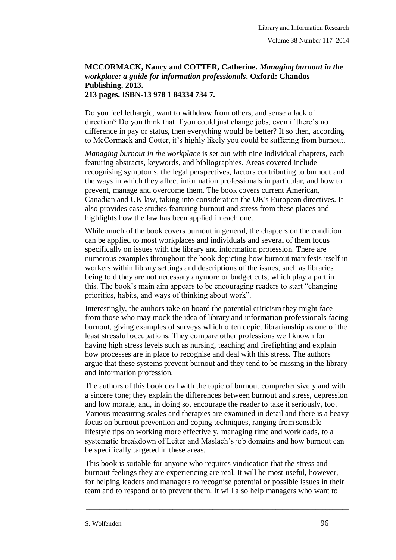## **MCCORMACK, Nancy and COTTER, Catherine.** *Managing burnout in the workplace: a guide for information professionals***. Oxford: Chandos Publishing. 2013.**

\_\_\_\_\_\_\_\_\_\_\_\_\_\_\_\_\_\_\_\_\_\_\_\_\_\_\_\_\_\_\_\_\_\_\_\_\_\_\_\_\_\_\_\_\_\_\_\_\_\_\_\_\_\_\_\_\_\_\_\_\_\_\_\_\_\_\_\_\_\_\_\_\_\_\_\_\_\_\_

## **213 pages. ISBN-13 978 1 84334 734 7.**

Do you feel lethargic, want to withdraw from others, and sense a lack of direction? Do you think that if you could just change jobs, even if there's no difference in pay or status, then everything would be better? If so then, according to McCormack and Cotter, it's highly likely you could be suffering from burnout.

*Managing burnout in the workplace* is set out with nine individual chapters, each featuring abstracts, keywords, and bibliographies. Areas covered include recognising symptoms, the legal perspectives, factors contributing to burnout and the ways in which they affect information professionals in particular, and how to prevent, manage and overcome them. The book covers current American, Canadian and UK law, taking into consideration the UK's European directives. It also provides case studies featuring burnout and stress from these places and highlights how the law has been applied in each one.

While much of the book covers burnout in general, the chapters on the condition can be applied to most workplaces and individuals and several of them focus specifically on issues with the library and information profession. There are numerous examples throughout the book depicting how burnout manifests itself in workers within library settings and descriptions of the issues, such as libraries being told they are not necessary anymore or budget cuts, which play a part in this. The book's main aim appears to be encouraging readers to start "changing priorities, habits, and ways of thinking about work".

Interestingly, the authors take on board the potential criticism they might face from those who may mock the idea of library and information professionals facing burnout, giving examples of surveys which often depict librarianship as one of the least stressful occupations. They compare other professions well known for having high stress levels such as nursing, teaching and firefighting and explain how processes are in place to recognise and deal with this stress. The authors argue that these systems prevent burnout and they tend to be missing in the library and information profession.

The authors of this book deal with the topic of burnout comprehensively and with a sincere tone; they explain the differences between burnout and stress, depression and low morale, and, in doing so, encourage the reader to take it seriously, too. Various measuring scales and therapies are examined in detail and there is a heavy focus on burnout prevention and coping techniques, ranging from sensible lifestyle tips on working more effectively, managing time and workloads, to a systematic breakdown of Leiter and Maslach's job domains and how burnout can be specifically targeted in these areas.

This book is suitable for anyone who requires vindication that the stress and burnout feelings they are experiencing are real. It will be most useful, however, for helping leaders and managers to recognise potential or possible issues in their team and to respond or to prevent them. It will also help managers who want to

\_\_\_\_\_\_\_\_\_\_\_\_\_\_\_\_\_\_\_\_\_\_\_\_\_\_\_\_\_\_\_\_\_\_\_\_\_\_\_\_\_\_\_\_\_\_\_\_\_\_\_\_\_\_\_\_\_\_\_\_\_\_\_\_\_\_\_\_\_\_\_\_\_\_\_\_\_\_\_